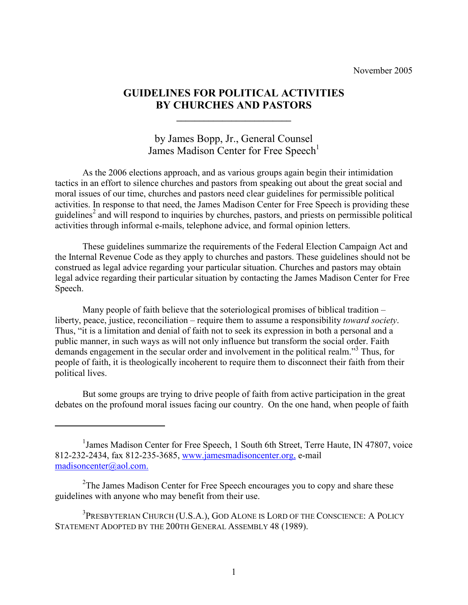November 2005

# GUIDELINES FOR POLITICAL ACTIVITIES BY CHURCHES AND PASTORS

 $\_$ 

# by James Bopp, Jr., General Counsel James Madison Center for Free Speech<sup>1</sup>

 As the 2006 elections approach, and as various groups again begin their intimidation tactics in an effort to silence churches and pastors from speaking out about the great social and moral issues of our time, churches and pastors need clear guidelines for permissible political activities. In response to that need, the James Madison Center for Free Speech is providing these guidelines<sup>2</sup> and will respond to inquiries by churches, pastors, and priests on permissible political activities through informal e-mails, telephone advice, and formal opinion letters.

 These guidelines summarize the requirements of the Federal Election Campaign Act and the Internal Revenue Code as they apply to churches and pastors. These guidelines should not be construed as legal advice regarding your particular situation. Churches and pastors may obtain legal advice regarding their particular situation by contacting the James Madison Center for Free Speech.

 Many people of faith believe that the soteriological promises of biblical tradition – liberty, peace, justice, reconciliation – require them to assume a responsibility *toward society*. Thus, "it is a limitation and denial of faith not to seek its expression in both a personal and a public manner, in such ways as will not only influence but transform the social order. Faith demands engagement in the secular order and involvement in the political realm."<sup>3</sup> Thus, for people of faith, it is theologically incoherent to require them to disconnect their faith from their political lives.

 But some groups are trying to drive people of faith from active participation in the great debates on the profound moral issues facing our country. On the one hand, when people of faith

 $\overline{a}$ 

<sup>&</sup>lt;sup>1</sup> James Madison Center for Free Speech, 1 South 6th Street, Terre Haute, IN 47807, voice 812-232-2434, fax 812-235-3685, www.jamesmadisoncenter.org, e-mail madisoncenter@aol.com.

 $2$ The James Madison Center for Free Speech encourages you to copy and share these guidelines with anyone who may benefit from their use.

<sup>&</sup>lt;sup>3</sup>PRESBYTERIAN CHURCH (U.S.A.), GOD ALONE IS LORD OF THE CONSCIENCE: A POLICY STATEMENT ADOPTED BY THE 200TH GENERAL ASSEMBLY 48 (1989).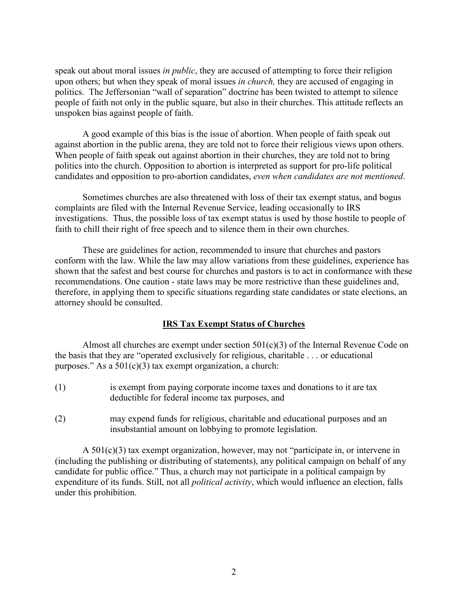speak out about moral issues in *public*, they are accused of attempting to force their religion upon others; but when they speak of moral issues *in church*, they are accused of engaging in politics. The Jeffersonian "wall of separation" doctrine has been twisted to attempt to silence people of faith not only in the public square, but also in their churches. This attitude reflects an unspoken bias against people of faith.

 A good example of this bias is the issue of abortion. When people of faith speak out against abortion in the public arena, they are told not to force their religious views upon others. When people of faith speak out against abortion in their churches, they are told not to bring politics into the church. Opposition to abortion is interpreted as support for pro-life political candidates and opposition to pro-abortion candidates, even when candidates are not mentioned.

 Sometimes churches are also threatened with loss of their tax exempt status, and bogus complaints are filed with the Internal Revenue Service, leading occasionally to IRS investigations. Thus, the possible loss of tax exempt status is used by those hostile to people of faith to chill their right of free speech and to silence them in their own churches.

 These are guidelines for action, recommended to insure that churches and pastors conform with the law. While the law may allow variations from these guidelines, experience has shown that the safest and best course for churches and pastors is to act in conformance with these recommendations. One caution - state laws may be more restrictive than these guidelines and, therefore, in applying them to specific situations regarding state candidates or state elections, an attorney should be consulted.

### IRS Tax Exempt Status of Churches

Almost all churches are exempt under section  $501(c)(3)$  of the Internal Revenue Code on the basis that they are "operated exclusively for religious, charitable . . . or educational purposes." As a  $501(c)(3)$  tax exempt organization, a church:

- (1) is exempt from paying corporate income taxes and donations to it are tax deductible for federal income tax purposes, and
- (2) may expend funds for religious, charitable and educational purposes and an insubstantial amount on lobbying to promote legislation.

 A 501(c)(3) tax exempt organization, however, may not "participate in, or intervene in (including the publishing or distributing of statements), any political campaign on behalf of any candidate for public office." Thus, a church may not participate in a political campaign by expenditure of its funds. Still, not all *political activity*, which would influence an election, falls under this prohibition.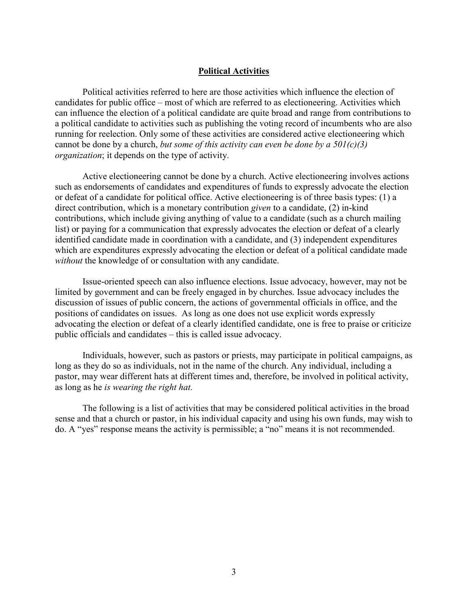#### Political Activities

 Political activities referred to here are those activities which influence the election of candidates for public office – most of which are referred to as electioneering. Activities which can influence the election of a political candidate are quite broad and range from contributions to a political candidate to activities such as publishing the voting record of incumbents who are also running for reelection. Only some of these activities are considered active electioneering which cannot be done by a church, but some of this activity can even be done by a  $501(c)(3)$ organization; it depends on the type of activity.

 Active electioneering cannot be done by a church. Active electioneering involves actions such as endorsements of candidates and expenditures of funds to expressly advocate the election or defeat of a candidate for political office. Active electioneering is of three basis types: (1) a direct contribution, which is a monetary contribution given to a candidate, (2) in-kind contributions, which include giving anything of value to a candidate (such as a church mailing list) or paying for a communication that expressly advocates the election or defeat of a clearly identified candidate made in coordination with a candidate, and (3) independent expenditures which are expenditures expressly advocating the election or defeat of a political candidate made without the knowledge of or consultation with any candidate.

 Issue-oriented speech can also influence elections. Issue advocacy, however, may not be limited by government and can be freely engaged in by churches. Issue advocacy includes the discussion of issues of public concern, the actions of governmental officials in office, and the positions of candidates on issues. As long as one does not use explicit words expressly advocating the election or defeat of a clearly identified candidate, one is free to praise or criticize public officials and candidates – this is called issue advocacy.

 Individuals, however, such as pastors or priests, may participate in political campaigns, as long as they do so as individuals, not in the name of the church. Any individual, including a pastor, may wear different hats at different times and, therefore, be involved in political activity, as long as he is wearing the right hat.

 The following is a list of activities that may be considered political activities in the broad sense and that a church or pastor, in his individual capacity and using his own funds, may wish to do. A "yes" response means the activity is permissible; a "no" means it is not recommended.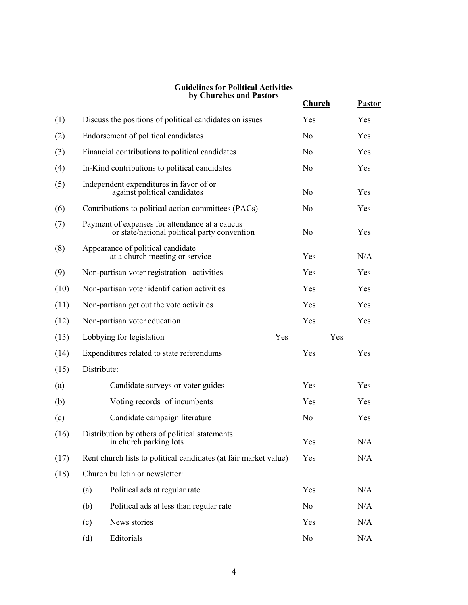#### Guidelines for Political Activities by Churches and Pastors

|      |                                                                                                | by Churches and Pastors                                 | <b>Church</b>  | <b>Pastor</b> |
|------|------------------------------------------------------------------------------------------------|---------------------------------------------------------|----------------|---------------|
| (1)  |                                                                                                | Discuss the positions of political candidates on issues | Yes            | Yes           |
| (2)  | Endorsement of political candidates                                                            |                                                         | N <sub>0</sub> | Yes           |
| (3)  | Financial contributions to political candidates                                                |                                                         | N <sub>0</sub> | Yes           |
| (4)  | In-Kind contributions to political candidates                                                  |                                                         | N <sub>0</sub> | Yes           |
| (5)  | Independent expenditures in favor of or<br>against political candidates                        |                                                         | N <sub>0</sub> | Yes           |
| (6)  | Contributions to political action committees (PACs)                                            |                                                         | N <sub>0</sub> | Yes           |
| (7)  | Payment of expenses for attendance at a caucus<br>or state/national political party convention |                                                         | N <sub>0</sub> | Yes           |
| (8)  | Appearance of political candidate<br>at a church meeting or service                            |                                                         | Yes            | N/A           |
| (9)  | Non-partisan voter registration activities                                                     |                                                         | Yes            | Yes           |
| (10) | Non-partisan voter identification activities                                                   |                                                         | Yes            | Yes           |
| (11) | Non-partisan get out the vote activities                                                       |                                                         | Yes            | Yes           |
| (12) | Non-partisan voter education                                                                   |                                                         | Yes            | Yes           |
| (13) | Lobbying for legislation<br>Yes                                                                |                                                         | Yes            |               |
| (14) | Expenditures related to state referendums                                                      |                                                         | Yes            | Yes           |
| (15) | Distribute:                                                                                    |                                                         |                |               |
| (a)  |                                                                                                | Candidate surveys or voter guides                       | Yes            | Yes           |
| (b)  |                                                                                                | Voting records of incumbents                            | Yes            | Yes           |
| (c)  |                                                                                                | Candidate campaign literature                           | N <sub>0</sub> | Yes           |
| (16) | Distribution by others of political statements<br>in church parking lots                       |                                                         | Yes            | N/A           |
| (17) | Rent church lists to political candidates (at fair market value)                               |                                                         | Yes            | N/A           |
| (18) |                                                                                                | Church bulletin or newsletter:                          |                |               |
|      | (a)                                                                                            | Political ads at regular rate                           | Yes            | N/A           |
|      | (b)                                                                                            | Political ads at less than regular rate                 | N <sub>0</sub> | N/A           |
|      | (c)                                                                                            | News stories                                            | Yes            | N/A           |
|      | (d)                                                                                            | Editorials                                              | N <sub>0</sub> | $\rm N/A$     |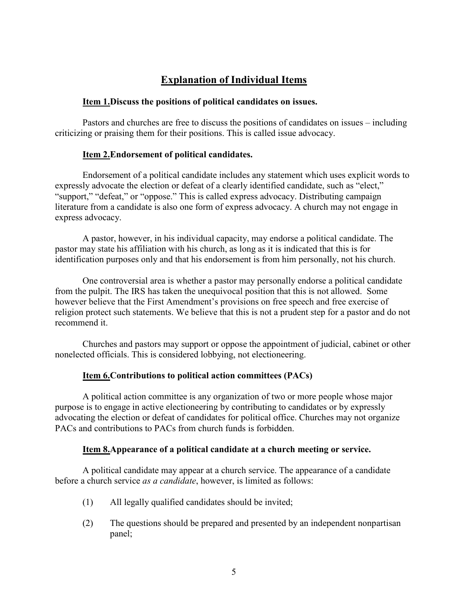# Explanation of Individual Items

#### Item 1.Discuss the positions of political candidates on issues.

Pastors and churches are free to discuss the positions of candidates on issues – including criticizing or praising them for their positions. This is called issue advocacy.

### Item 2. Endorsement of political candidates.

 Endorsement of a political candidate includes any statement which uses explicit words to expressly advocate the election or defeat of a clearly identified candidate, such as "elect," "support," "defeat," or "oppose." This is called express advocacy. Distributing campaign literature from a candidate is also one form of express advocacy. A church may not engage in express advocacy.

 A pastor, however, in his individual capacity, may endorse a political candidate. The pastor may state his affiliation with his church, as long as it is indicated that this is for identification purposes only and that his endorsement is from him personally, not his church.

 One controversial area is whether a pastor may personally endorse a political candidate from the pulpit. The IRS has taken the unequivocal position that this is not allowed. Some however believe that the First Amendment's provisions on free speech and free exercise of religion protect such statements. We believe that this is not a prudent step for a pastor and do not recommend it.

 Churches and pastors may support or oppose the appointment of judicial, cabinet or other nonelected officials. This is considered lobbying, not electioneering.

### Item 6.Contributions to political action committees (PACs)

 A political action committee is any organization of two or more people whose major purpose is to engage in active electioneering by contributing to candidates or by expressly advocating the election or defeat of candidates for political office. Churches may not organize PACs and contributions to PACs from church funds is forbidden.

#### Item 8.Appearance of a political candidate at a church meeting or service.

 A political candidate may appear at a church service. The appearance of a candidate before a church service as a candidate, however, is limited as follows:

- (1) All legally qualified candidates should be invited;
- (2) The questions should be prepared and presented by an independent nonpartisan panel;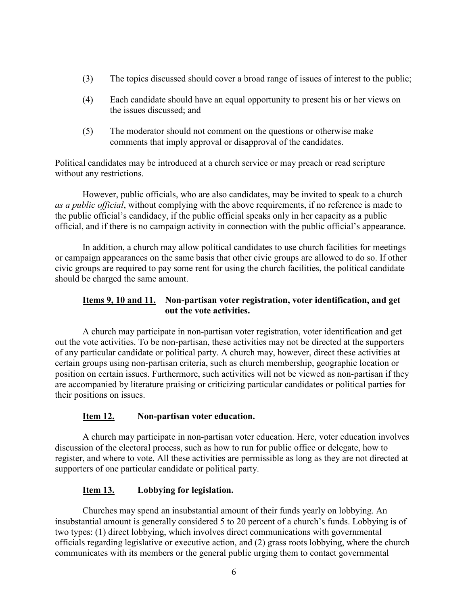- (3) The topics discussed should cover a broad range of issues of interest to the public;
- (4) Each candidate should have an equal opportunity to present his or her views on the issues discussed; and
- (5) The moderator should not comment on the questions or otherwise make comments that imply approval or disapproval of the candidates.

Political candidates may be introduced at a church service or may preach or read scripture without any restrictions.

 However, public officials, who are also candidates, may be invited to speak to a church as a public official, without complying with the above requirements, if no reference is made to the public official's candidacy, if the public official speaks only in her capacity as a public official, and if there is no campaign activity in connection with the public official's appearance.

 In addition, a church may allow political candidates to use church facilities for meetings or campaign appearances on the same basis that other civic groups are allowed to do so. If other civic groups are required to pay some rent for using the church facilities, the political candidate should be charged the same amount.

# Items 9, 10 and 11. Non-partisan voter registration, voter identification, and get out the vote activities.

 A church may participate in non-partisan voter registration, voter identification and get out the vote activities. To be non-partisan, these activities may not be directed at the supporters of any particular candidate or political party. A church may, however, direct these activities at certain groups using non-partisan criteria, such as church membership, geographic location or position on certain issues. Furthermore, such activities will not be viewed as non-partisan if they are accompanied by literature praising or criticizing particular candidates or political parties for their positions on issues.

# Item 12. Non-partisan voter education.

 A church may participate in non-partisan voter education. Here, voter education involves discussion of the electoral process, such as how to run for public office or delegate, how to register, and where to vote. All these activities are permissible as long as they are not directed at supporters of one particular candidate or political party.

# Item 13. Lobbying for legislation.

 Churches may spend an insubstantial amount of their funds yearly on lobbying. An insubstantial amount is generally considered 5 to 20 percent of a church's funds. Lobbying is of two types: (1) direct lobbying, which involves direct communications with governmental officials regarding legislative or executive action, and (2) grass roots lobbying, where the church communicates with its members or the general public urging them to contact governmental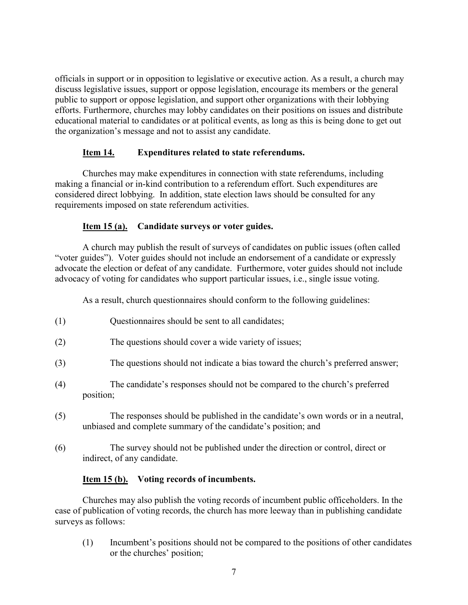officials in support or in opposition to legislative or executive action. As a result, a church may discuss legislative issues, support or oppose legislation, encourage its members or the general public to support or oppose legislation, and support other organizations with their lobbying efforts. Furthermore, churches may lobby candidates on their positions on issues and distribute educational material to candidates or at political events, as long as this is being done to get out the organization's message and not to assist any candidate.

## Item 14. Expenditures related to state referendums.

 Churches may make expenditures in connection with state referendums, including making a financial or in-kind contribution to a referendum effort. Such expenditures are considered direct lobbying. In addition, state election laws should be consulted for any requirements imposed on state referendum activities.

# Item 15 (a). Candidate surveys or voter guides.

 A church may publish the result of surveys of candidates on public issues (often called "voter guides"). Voter guides should not include an endorsement of a candidate or expressly advocate the election or defeat of any candidate. Furthermore, voter guides should not include advocacy of voting for candidates who support particular issues, i.e., single issue voting.

As a result, church questionnaires should conform to the following guidelines:

- (1) Questionnaires should be sent to all candidates;
- (2) The questions should cover a wide variety of issues;
- (3) The questions should not indicate a bias toward the church's preferred answer;
- (4) The candidate's responses should not be compared to the church's preferred position;
- (5) The responses should be published in the candidate's own words or in a neutral, unbiased and complete summary of the candidate's position; and
- (6) The survey should not be published under the direction or control, direct or indirect, of any candidate.

## Item 15 (b). Voting records of incumbents.

 Churches may also publish the voting records of incumbent public officeholders. In the case of publication of voting records, the church has more leeway than in publishing candidate surveys as follows:

(1) Incumbent's positions should not be compared to the positions of other candidates or the churches' position;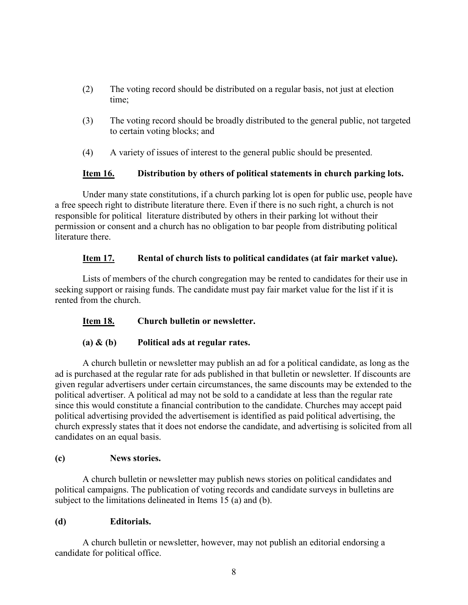- (2) The voting record should be distributed on a regular basis, not just at election time;
- (3) The voting record should be broadly distributed to the general public, not targeted to certain voting blocks; and
- (4) A variety of issues of interest to the general public should be presented.

### Item 16. Distribution by others of political statements in church parking lots.

 Under many state constitutions, if a church parking lot is open for public use, people have a free speech right to distribute literature there. Even if there is no such right, a church is not responsible for political literature distributed by others in their parking lot without their permission or consent and a church has no obligation to bar people from distributing political literature there.

## Item 17. Rental of church lists to political candidates (at fair market value).

 Lists of members of the church congregation may be rented to candidates for their use in seeking support or raising funds. The candidate must pay fair market value for the list if it is rented from the church.

## Item 18. Church bulletin or newsletter.

## (a)  $\&$  (b) Political ads at regular rates.

 A church bulletin or newsletter may publish an ad for a political candidate, as long as the ad is purchased at the regular rate for ads published in that bulletin or newsletter. If discounts are given regular advertisers under certain circumstances, the same discounts may be extended to the political advertiser. A political ad may not be sold to a candidate at less than the regular rate since this would constitute a financial contribution to the candidate. Churches may accept paid political advertising provided the advertisement is identified as paid political advertising, the church expressly states that it does not endorse the candidate, and advertising is solicited from all candidates on an equal basis.

### (c) News stories.

 A church bulletin or newsletter may publish news stories on political candidates and political campaigns. The publication of voting records and candidate surveys in bulletins are subject to the limitations delineated in Items 15 (a) and (b).

### (d) Editorials.

 A church bulletin or newsletter, however, may not publish an editorial endorsing a candidate for political office.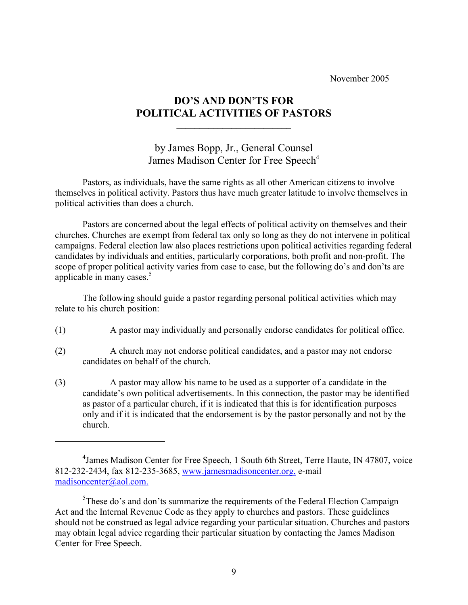November 2005

# DO'S AND DON'TS FOR POLITICAL ACTIVITIES OF PASTORS

 $\mathcal{L}_\text{max} = \mathcal{L}_\text{max} = \mathcal{L}_\text{max} = \mathcal{L}_\text{max} = \mathcal{L}_\text{max} = \mathcal{L}_\text{max}$ 

 $\overline{a}$ 

by James Bopp, Jr., General Counsel James Madison Center for Free Speech<sup>4</sup>

 Pastors, as individuals, have the same rights as all other American citizens to involve themselves in political activity. Pastors thus have much greater latitude to involve themselves in political activities than does a church.

 Pastors are concerned about the legal effects of political activity on themselves and their churches. Churches are exempt from federal tax only so long as they do not intervene in political campaigns. Federal election law also places restrictions upon political activities regarding federal candidates by individuals and entities, particularly corporations, both profit and non-profit. The scope of proper political activity varies from case to case, but the following do's and don'ts are applicable in many cases.<sup>5</sup>

 The following should guide a pastor regarding personal political activities which may relate to his church position:

- (1) A pastor may individually and personally endorse candidates for political office.
- (2) A church may not endorse political candidates, and a pastor may not endorse candidates on behalf of the church.
- (3) A pastor may allow his name to be used as a supporter of a candidate in the candidate's own political advertisements. In this connection, the pastor may be identified as pastor of a particular church, if it is indicated that this is for identification purposes only and if it is indicated that the endorsement is by the pastor personally and not by the church.

<sup>&</sup>lt;sup>4</sup> James Madison Center for Free Speech, 1 South 6th Street, Terre Haute, IN 47807, voice 812-232-2434, fax 812-235-3685, www.jamesmadisoncenter.org, e-mail madisoncenter@aol.com.

<sup>&</sup>lt;sup>5</sup>These do's and don'ts summarize the requirements of the Federal Election Campaign Act and the Internal Revenue Code as they apply to churches and pastors. These guidelines should not be construed as legal advice regarding your particular situation. Churches and pastors may obtain legal advice regarding their particular situation by contacting the James Madison Center for Free Speech.